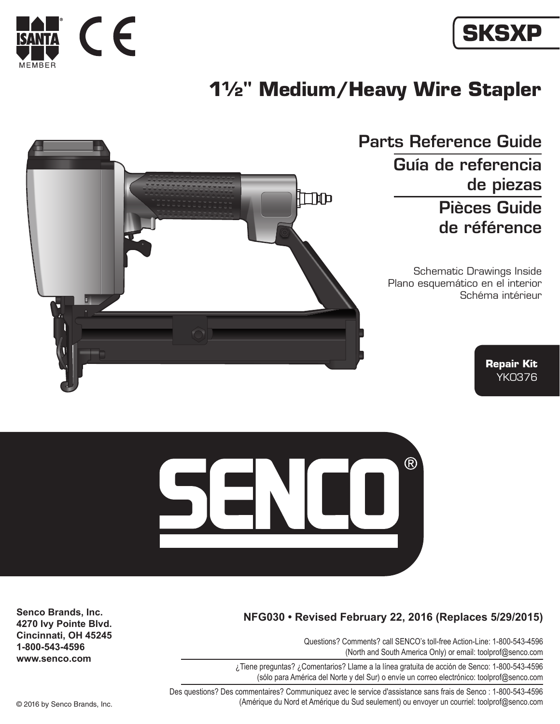



## **1½" Medium/Heavy Wire Stapler**



Parts Reference Guide Guía de referencia de piezas Pièces Guide de référence

> Schematic Drawings Inside Plano esquemático en el interior Schéma intérieur

> > **Repair Kit** YK0376



## **NFG030 • Revised February 22, 2016 (Replaces 5/29/2015)**

Questions? Comments? call SENCO's toll-free Action-Line: 1-800-543-4596 (North and South America Only) or email: toolprof@senco.com

¿Tiene preguntas? ¿Comentarios? Llame a la línea gratuita de acción de Senco: 1-800-543-4596 (sólo para América del Norte y del Sur) o envíe un correo electrónico: toolprof@senco.com

Des questions? Des commentaires? Communiquez avec le service d'assistance sans frais de Senco : 1-800-543-4596 © 2016 by Senco Brands, Inc. (Amérique du Nord et Amérique du Sud seulement) ou envoyer un courriel: toolprof@senco.com

**Senco Brands, Inc. 4270 Ivy Pointe Blvd. Cincinnati, OH 45245 1-800-543-4596 www.senco.com**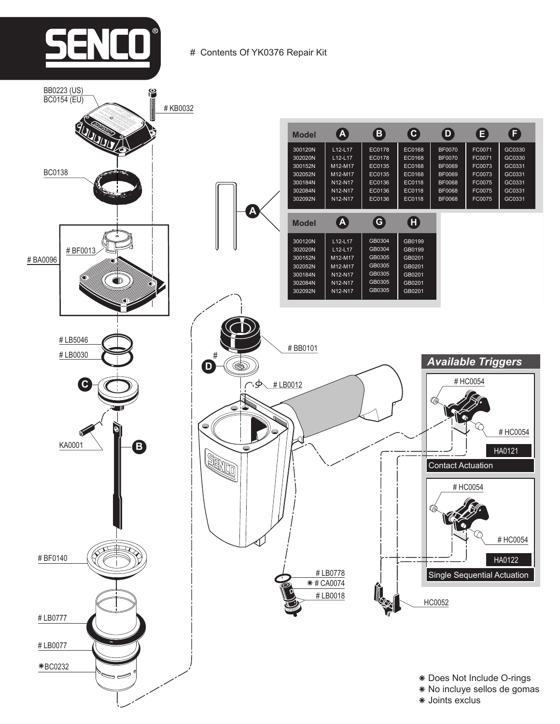

# Contents Of YK0376 Repair Kit

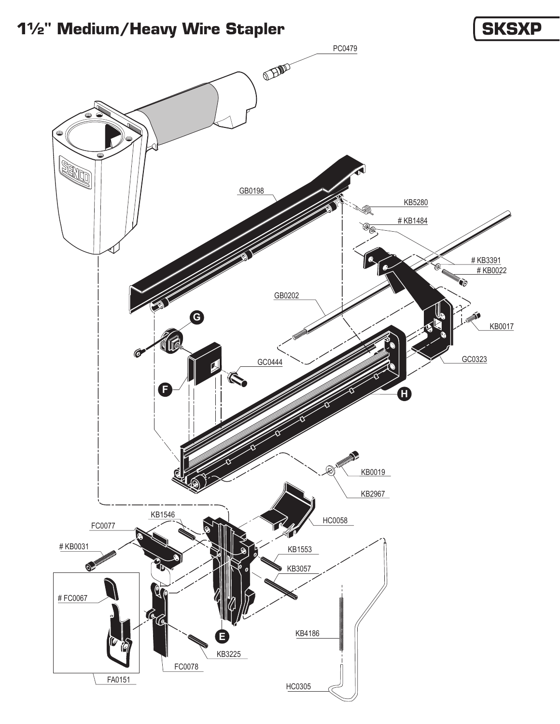